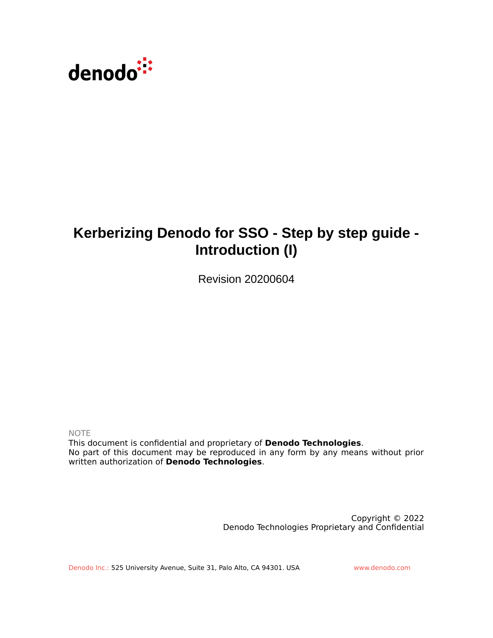

## **Kerberizing Denodo for SSO - Step by step guide - Introduction (I)**

Revision 20200604

NOTE

This document is confidential and proprietary of **Denodo Technologies**. No part of this document may be reproduced in any form by any means without prior written authorization of **Denodo Technologies**.

> Copyright © 2022 Denodo Technologies Proprietary and Confidential

Denodo Inc.: 525 University Avenue, Suite 31, Palo Alto, CA 94301. USA www.denodo.com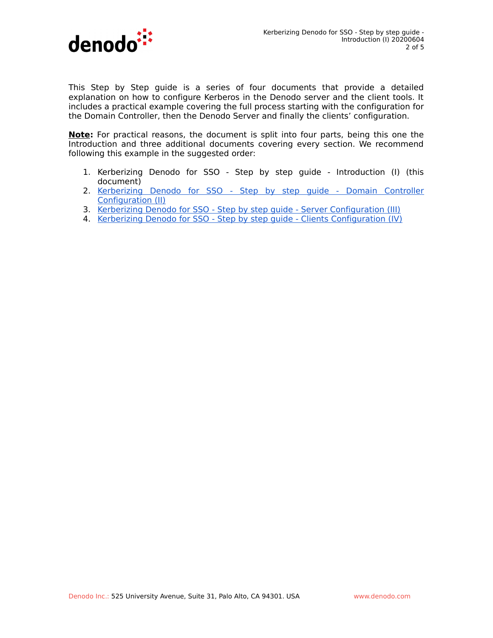

This Step by Step guide is a series of four documents that provide a detailed explanation on how to configure Kerberos in the Denodo server and the client tools. It includes a practical example covering the full process starting with the configuration for the Domain Controller, then the Denodo Server and finally the clients' configuration.

**Note:** For practical reasons, the document is split into four parts, being this one the Introduction and three additional documents covering every section. We recommend following this example in the suggested order:

- 1. Kerberizing Denodo for SSO Step by step guide Introduction (I) (this document)
- 2. [Kerberizing Denodo for SSO Step by step guide Domain Controller](https://community.denodo.com/kb/view/document/Kerberizing%20Denodo%20for%20SSO%20-%20Step%20by%20step%20guide%20-%20Domain%20Controller%20Configuration%20(II)) [Configuration \(II\)](https://community.denodo.com/kb/view/document/Kerberizing%20Denodo%20for%20SSO%20-%20Step%20by%20step%20guide%20-%20Domain%20Controller%20Configuration%20(II))
- 3. [Kerberizing Denodo for SSO Step by step guide Server Configuration \(III\)](https://community.denodo.com/kb/view/document/Kerberizing%20Denodo%20for%20SSO%20-%20Step%20by%20step%20guide%20-%20Server%20Configuration%20(III))
- 4. [Kerberizing Denodo for SSO Step by step guide Clients Configuration \(IV\)](https://community.denodo.com/kb/view/document/Kerberizing%20Denodo%20for%20SSO%20-%20Step%20by%20step%20guide%20-%20Clients%20Configuration%20(IV))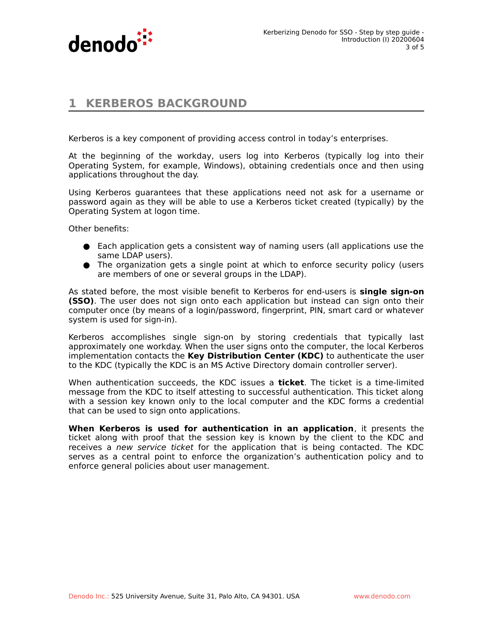

## **1 KERBEROS BACKGROUND**

Kerberos is a key component of providing access control in today's enterprises.

At the beginning of the workday, users log into Kerberos (typically log into their Operating System, for example, Windows), obtaining credentials once and then using applications throughout the day.

Using Kerberos guarantees that these applications need not ask for a username or password again as they will be able to use a Kerberos ticket created (typically) by the Operating System at logon time.

Other benefits:

- $\bullet$  Each application gets a consistent way of naming users (all applications use the same LDAP users).
- The organization gets a single point at which to enforce security policy (users are members of one or several groups in the LDAP).

As stated before, the most visible benefit to Kerberos for end-users is **single sign-on (SSO)**. The user does not sign onto each application but instead can sign onto their computer once (by means of a login/password, fingerprint, PIN, smart card or whatever system is used for sign-in).

Kerberos accomplishes single sign-on by storing credentials that typically last approximately one workday. When the user signs onto the computer, the local Kerberos implementation contacts the **Key Distribution Center (KDC)** to authenticate the user to the KDC (typically the KDC is an MS Active Directory domain controller server).

When authentication succeeds, the KDC issues a **ticket**. The ticket is a time-limited message from the KDC to itself attesting to successful authentication. This ticket along with a session key known only to the local computer and the KDC forms a credential that can be used to sign onto applications.

**When Kerberos is used for authentication in an application**, it presents the ticket along with proof that the session key is known by the client to the KDC and receives a new service ticket for the application that is being contacted. The KDC serves as a central point to enforce the organization's authentication policy and to enforce general policies about user management.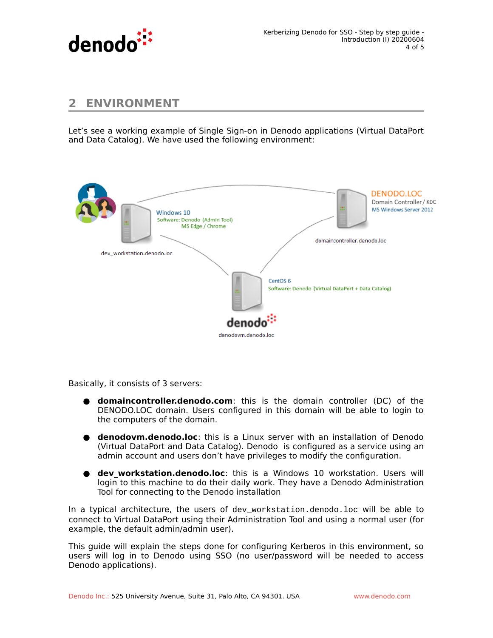

## **2 ENVIRONMENT**

Let's see a working example of Single Sign-on in Denodo applications (Virtual DataPort and Data Catalog). We have used the following environment:



Basically, it consists of 3 servers:

- **domaincontroller.denodo.com**: this is the domain controller (DC) of the DENODO.LOC domain. Users configured in this domain will be able to login to the computers of the domain.
- **denodovm.denodo.loc**: this is a Linux server with an installation of Denodo (Virtual DataPort and Data Catalog). Denodo is configured as a service using an admin account and users don't have privileges to modify the configuration.
- dev workstation.denodo.loc: this is a Windows 10 workstation. Users will login to this machine to do their daily work. They have a Denodo Administration Tool for connecting to the Denodo installation

In a typical architecture, the users of dev\_workstation.denodo.loc will be able to connect to Virtual DataPort using their Administration Tool and using a normal user (for example, the default admin/admin user).

This guide will explain the steps done for configuring Kerberos in this environment, so users will log in to Denodo using SSO (no user/password will be needed to access Denodo applications).